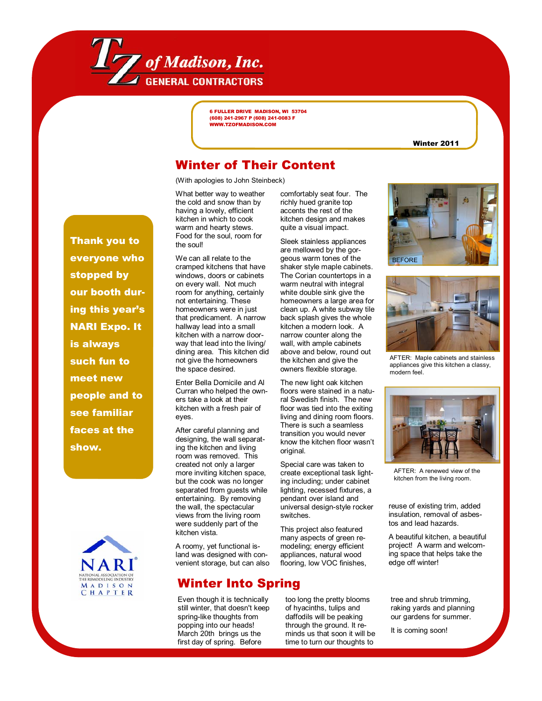

6 FULLER DRIVE MADISON, WI 53704 (608) 241-2967 P (608) 241-0083 F WWW.TZOFMADISON.COM

Winter 2011

## Winter of Their Content

(With apologies to John Steinbeck)

What better way to weather the cold and snow than by having a lovely, efficient kitchen in which to cook warm and hearty stews. Food for the soul, room for the soul!

We can all relate to the cramped kitchens that have windows, doors or cabinets on every wall. Not much room for anything, certainly not entertaining. These homeowners were in just that predicament. A narrow hallway lead into a small kitchen with a narrow doorway that lead into the living/ dining area. This kitchen did not give the homeowners the space desired.

Enter Bella Domicile and Al Curran who helped the owners take a look at their kitchen with a fresh pair of eyes.

After careful planning and designing, the wall separating the kitchen and living room was removed. This created not only a larger more inviting kitchen space, but the cook was no longer separated from guests while entertaining. By removing the wall, the spectacular views from the living room were suddenly part of the kitchen vista.

A roomy, yet functional island was designed with convenient storage, but can also

# Winter Into Spring

Even though it is technically still winter, that doesn't keep spring-like thoughts from popping into our heads! March 20th brings us the first day of spring. Before

comfortably seat four. The richly hued granite top accents the rest of the kitchen design and makes quite a visual impact.

Sleek stainless appliances are mellowed by the gorgeous warm tones of the shaker style maple cabinets. The Corian countertops in a warm neutral with integral white double sink give the homeowners a large area for clean up. A white subway tile back splash gives the whole kitchen a modern look. A narrow counter along the wall, with ample cabinets above and below, round out the kitchen and give the owners flexible storage.

The new light oak kitchen floors were stained in a natural Swedish finish. The new floor was tied into the exiting living and dining room floors. There is such a seamless transition you would never know the kitchen floor wasnít original.

Special care was taken to create exceptional task lighting including; under cabinet lighting, recessed fixtures, a pendant over island and universal design-style rocker switches.

This project also featured many aspects of green remodeling; energy efficient appliances, natural wood flooring, low VOC finishes,

too long the pretty blooms of hyacinths, tulips and daffodils will be peaking through the ground. It reminds us that soon it will be time to turn our thoughts to





AFTER: Maple cabinets and stainless appliances give this kitchen a classy, modern feel.



AFTER: A renewed view of the kitchen from the living room.

reuse of existing trim, added insulation, removal of asbestos and lead hazards.

A beautiful kitchen, a beautiful project! A warm and welcoming space that helps take the edge off winter!

tree and shrub trimming, raking yards and planning our gardens for summer.

It is coming soon!

Thank you to everyone who stopped by our booth during this year's NARI Expo. It is always such fun to meet new people and to see familiar faces at the show.